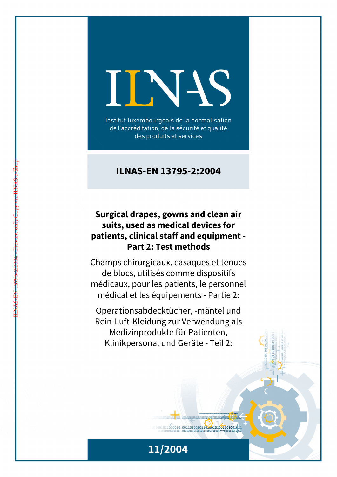# IINIS

Institut luxembourgeois de la normalisation de l'accréditation, de la sécurité et qualité des produits et services

## **ILNAS-EN 13795-2:2004**

## **Surgical drapes, gowns and clean air suits, used as medical devices for patients, clinical staff and equipment - Part 2: Test methods**

Champs chirurgicaux, casaques et tenues de blocs, utilisés comme dispositifs médicaux, pour les patients, le personnel médical et les équipements - Partie 2:

Operationsabdecktücher, -mäntel und Rein-Luft-Kleidung zur Verwendung als Medizinprodukte für Patienten, Klinikpersonal und Geräte - Teil 2:



 $1011010010 00110100101101001001101001111$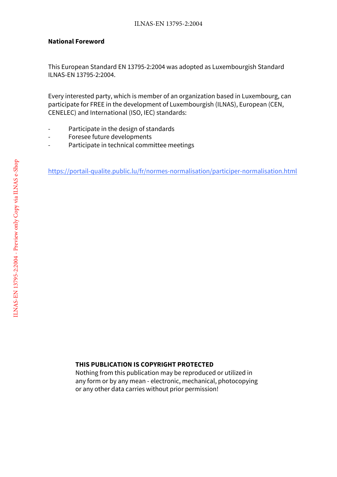#### **National Foreword**

This European Standard EN 13795-2:2004 was adopted as Luxembourgish Standard ILNAS-EN 13795-2:2004.

Every interested party, which is member of an organization based in Luxembourg, can participate for FREE in the development of Luxembourgish (ILNAS), European (CEN, CENELEC) and International (ISO, IEC) standards:

- Participate in the design of standards
- Foresee future developments
- Participate in technical committee meetings

https://portail-qualite.public.lu/fr/normes-normalisation/participer-normalisation.html

#### **THIS PUBLICATION IS COPYRIGHT PROTECTED**

Nothing from this publication may be reproduced or utilized in any form or by any mean - electronic, mechanical, photocopying or any other data carries without prior permission!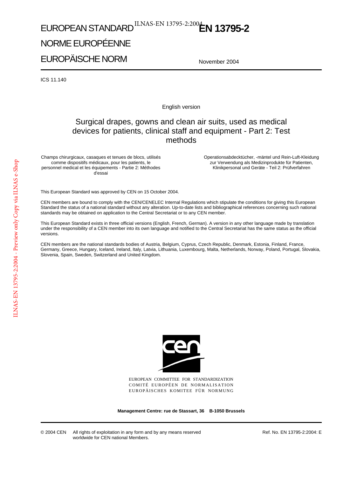# EUROPEAN STANDARD<sup>ILNAS-EN 13795-2:2004</sup>EN 13795-2

## NORME EUROPÉENNE

EUROPÄISCHE NORM

November 2004

ICS 11.140

English version

## Surgical drapes, gowns and clean air suits, used as medical devices for patients, clinical staff and equipment - Part 2: Test methods

Champs chirurgicaux, casaques et tenues de blocs, utilisés comme dispositifs médicaux, pour les patients, le personnel medical et les équipements - Partie 2: Méthodes d'essai

Operationsabdecktücher, -mäntel und Rein-Luft-Kleidung zur Verwendung als Medizinprodukte für Patienten, Klinikpersonal und Geräte - Teil 2: Prüfverfahren

This European Standard was approved by CEN on 15 October 2004.

CEN members are bound to comply with the CEN/CENELEC Internal Regulations which stipulate the conditions for giving this European Standard the status of a national standard without any alteration. Up-to-date lists and bibliographical references concerning such national standards may be obtained on application to the Central Secretariat or to any CEN member.

This European Standard exists in three official versions (English, French, German). A version in any other language made by translation under the responsibility of a CEN member into its own language and notified to the Central Secretariat has the same status as the official versions.

CEN members are the national standards bodies of Austria, Belgium, Cyprus, Czech Republic, Denmark, Estonia, Finland, France, Germany, Greece, Hungary, Iceland, Ireland, Italy, Latvia, Lithuania, Luxembourg, Malta, Netherlands, Norway, Poland, Portugal, Slovakia, Slovenia, Spain, Sweden, Switzerland and United Kingdom.



EUROPEAN COMMITTEE FOR STANDARDIZATION COMITÉ EUROPÉEN DE NORMALISATION EUROPÄISCHES KOMITEE FÜR NORMUNG

**Management Centre: rue de Stassart, 36 B-1050 Brussels**

© 2004 CEN All rights of exploitation in any form and by any means reserved worldwide for CEN national Members.

Ref. No. EN 13795-2:2004: E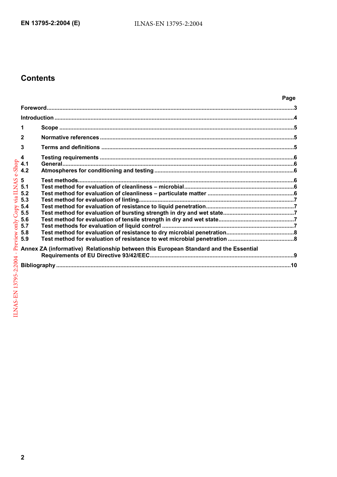## **Contents**

|                                                                                                                                                                                                                                                                                                                                                                                                                                                                                  | Page |  |
|----------------------------------------------------------------------------------------------------------------------------------------------------------------------------------------------------------------------------------------------------------------------------------------------------------------------------------------------------------------------------------------------------------------------------------------------------------------------------------|------|--|
| $\label{prop:1} \textbf{For} \textbf{word} \textcolor{red}{.} \textbf{} \textcolor{red}{.} \textbf{} \textcolor{red}{.} \textbf{} \textcolor{red}{.} \textbf{} \textcolor{red}{.} \textbf{} \textcolor{red}{.} \textbf{} \textcolor{red}{.} \textbf{} \textcolor{red}{.} \textbf{} \textcolor{red}{.} \textbf{} \textcolor{red}{.} \textbf{} \textcolor{red}{.} \textbf{} \textcolor{red}{.} \textbf{} \textcolor{red}{.} \textbf{} \textcolor{red}{.} \textbf{} \textcolor{red$ |      |  |
|                                                                                                                                                                                                                                                                                                                                                                                                                                                                                  |      |  |
| 1                                                                                                                                                                                                                                                                                                                                                                                                                                                                                |      |  |
| $\mathbf{2}$                                                                                                                                                                                                                                                                                                                                                                                                                                                                     |      |  |
| 3                                                                                                                                                                                                                                                                                                                                                                                                                                                                                |      |  |
| $\overline{\mathbf{4}}$                                                                                                                                                                                                                                                                                                                                                                                                                                                          |      |  |
| 4.1                                                                                                                                                                                                                                                                                                                                                                                                                                                                              |      |  |
| 4.2                                                                                                                                                                                                                                                                                                                                                                                                                                                                              |      |  |
| 5                                                                                                                                                                                                                                                                                                                                                                                                                                                                                |      |  |
| 5.1                                                                                                                                                                                                                                                                                                                                                                                                                                                                              |      |  |
| 5.2                                                                                                                                                                                                                                                                                                                                                                                                                                                                              |      |  |
| 5.3                                                                                                                                                                                                                                                                                                                                                                                                                                                                              |      |  |
| 5.4                                                                                                                                                                                                                                                                                                                                                                                                                                                                              |      |  |
| 5.5                                                                                                                                                                                                                                                                                                                                                                                                                                                                              |      |  |
| 5.6                                                                                                                                                                                                                                                                                                                                                                                                                                                                              |      |  |
| 5.7                                                                                                                                                                                                                                                                                                                                                                                                                                                                              |      |  |
| 5.8                                                                                                                                                                                                                                                                                                                                                                                                                                                                              |      |  |
| 5.9                                                                                                                                                                                                                                                                                                                                                                                                                                                                              |      |  |
| Annex ZA (informative) Relationship between this European Standard and the Essential                                                                                                                                                                                                                                                                                                                                                                                             |      |  |
|                                                                                                                                                                                                                                                                                                                                                                                                                                                                                  |      |  |
|                                                                                                                                                                                                                                                                                                                                                                                                                                                                                  |      |  |